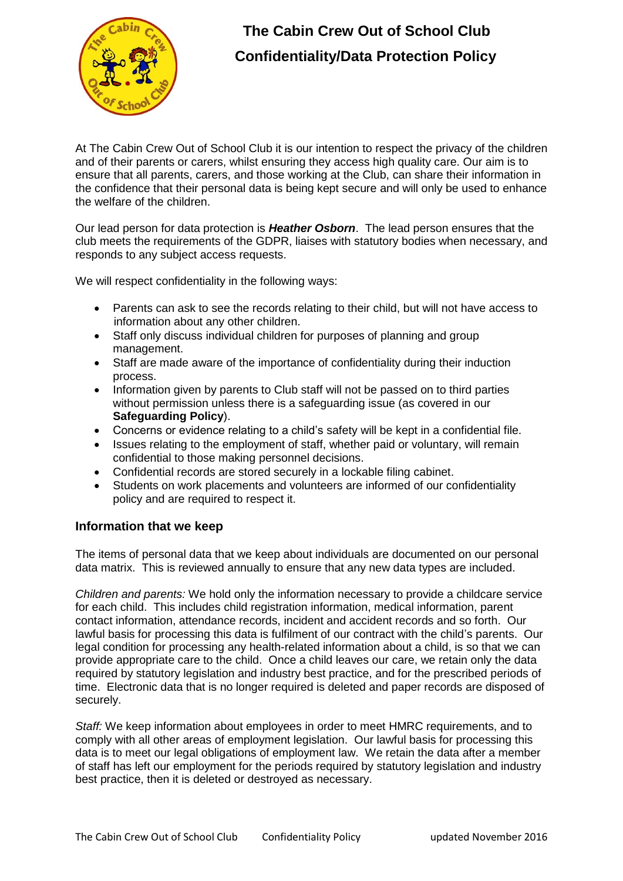

# **The Cabin Crew Out of School Club Confidentiality/Data Protection Policy**

At The Cabin Crew Out of School Club it is our intention to respect the privacy of the children and of their parents or carers, whilst ensuring they access high quality care. Our aim is to ensure that all parents, carers, and those working at the Club, can share their information in the confidence that their personal data is being kept secure and will only be used to enhance the welfare of the children.

Our lead person for data protection is *Heather Osborn*. The lead person ensures that the club meets the requirements of the GDPR, liaises with statutory bodies when necessary, and responds to any subject access requests.

We will respect confidentiality in the following ways:

- Parents can ask to see the records relating to their child, but will not have access to information about any other children.
- Staff only discuss individual children for purposes of planning and group management.
- Staff are made aware of the importance of confidentiality during their induction process.
- Information given by parents to Club staff will not be passed on to third parties without permission unless there is a safeguarding issue (as covered in our **Safeguarding Policy**).
- Concerns or evidence relating to a child's safety will be kept in a confidential file.
- Issues relating to the employment of staff, whether paid or voluntary, will remain confidential to those making personnel decisions.
- Confidential records are stored securely in a lockable filing cabinet.
- Students on work placements and volunteers are informed of our confidentiality policy and are required to respect it.

## **Information that we keep**

The items of personal data that we keep about individuals are documented on our personal data matrix. This is reviewed annually to ensure that any new data types are included.

*Children and parents:* We hold only the information necessary to provide a childcare service for each child. This includes child registration information, medical information, parent contact information, attendance records, incident and accident records and so forth. Our lawful basis for processing this data is fulfilment of our contract with the child's parents. Our legal condition for processing any health-related information about a child, is so that we can provide appropriate care to the child. Once a child leaves our care, we retain only the data required by statutory legislation and industry best practice, and for the prescribed periods of time. Electronic data that is no longer required is deleted and paper records are disposed of securely.

*Staff:* We keep information about employees in order to meet HMRC requirements, and to comply with all other areas of employment legislation. Our lawful basis for processing this data is to meet our legal obligations of employment law. We retain the data after a member of staff has left our employment for the periods required by statutory legislation and industry best practice, then it is deleted or destroyed as necessary.